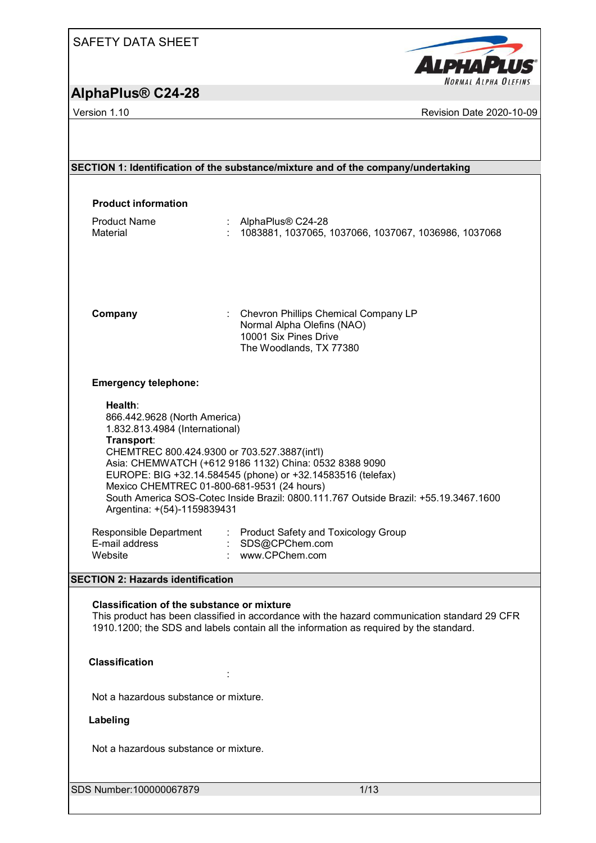## SAFETY DATA SHEET

# **AlphaPlus® C24-28**

Version 1.10 **Version 1.10** Revision Date 2020-10-09

| SECTION 1: Identification of the substance/mixture and of the company/undertaking<br><b>Product information</b><br><b>Product Name</b><br>: AlphaPlus® C24-28<br>Material<br>1083881, 1037065, 1037066, 1037067, 1036986, 1037068<br>: Chevron Phillips Chemical Company LP<br>Company<br>Normal Alpha Olefins (NAO)<br>10001 Six Pines Drive<br>The Woodlands, TX 77380<br><b>Emergency telephone:</b><br>Health:<br>866.442.9628 (North America)<br>1.832.813.4984 (International)<br>Transport:<br>CHEMTREC 800.424.9300 or 703.527.3887(int'l)<br>Asia: CHEMWATCH (+612 9186 1132) China: 0532 8388 9090<br>EUROPE: BIG +32.14.584545 (phone) or +32.14583516 (telefax)<br>Mexico CHEMTREC 01-800-681-9531 (24 hours)<br>South America SOS-Cotec Inside Brazil: 0800.111.767 Outside Brazil: +55.19.3467.1600<br>Argentina: +(54)-1159839431<br>Responsible Department<br>: Product Safety and Toxicology Group<br>E-mail address<br>: SDS@CPChem.com<br>: www.CPChem.com<br>Website<br><b>SECTION 2: Hazards identification</b><br>Classification of the substance or mixture<br>This product has been classified in accordance with the hazard communication standard 29 CFR<br>1910.1200; the SDS and labels contain all the information as required by the standard.<br><b>Classification</b><br>Not a hazardous substance or mixture.<br>Labeling<br>Not a hazardous substance or mixture.<br>SDS Number: 100000067879<br>1/13 |  |
|-----------------------------------------------------------------------------------------------------------------------------------------------------------------------------------------------------------------------------------------------------------------------------------------------------------------------------------------------------------------------------------------------------------------------------------------------------------------------------------------------------------------------------------------------------------------------------------------------------------------------------------------------------------------------------------------------------------------------------------------------------------------------------------------------------------------------------------------------------------------------------------------------------------------------------------------------------------------------------------------------------------------------------------------------------------------------------------------------------------------------------------------------------------------------------------------------------------------------------------------------------------------------------------------------------------------------------------------------------------------------------------------------------------------------------------------|--|
|                                                                                                                                                                                                                                                                                                                                                                                                                                                                                                                                                                                                                                                                                                                                                                                                                                                                                                                                                                                                                                                                                                                                                                                                                                                                                                                                                                                                                                         |  |
|                                                                                                                                                                                                                                                                                                                                                                                                                                                                                                                                                                                                                                                                                                                                                                                                                                                                                                                                                                                                                                                                                                                                                                                                                                                                                                                                                                                                                                         |  |
|                                                                                                                                                                                                                                                                                                                                                                                                                                                                                                                                                                                                                                                                                                                                                                                                                                                                                                                                                                                                                                                                                                                                                                                                                                                                                                                                                                                                                                         |  |
|                                                                                                                                                                                                                                                                                                                                                                                                                                                                                                                                                                                                                                                                                                                                                                                                                                                                                                                                                                                                                                                                                                                                                                                                                                                                                                                                                                                                                                         |  |
|                                                                                                                                                                                                                                                                                                                                                                                                                                                                                                                                                                                                                                                                                                                                                                                                                                                                                                                                                                                                                                                                                                                                                                                                                                                                                                                                                                                                                                         |  |
|                                                                                                                                                                                                                                                                                                                                                                                                                                                                                                                                                                                                                                                                                                                                                                                                                                                                                                                                                                                                                                                                                                                                                                                                                                                                                                                                                                                                                                         |  |
|                                                                                                                                                                                                                                                                                                                                                                                                                                                                                                                                                                                                                                                                                                                                                                                                                                                                                                                                                                                                                                                                                                                                                                                                                                                                                                                                                                                                                                         |  |
|                                                                                                                                                                                                                                                                                                                                                                                                                                                                                                                                                                                                                                                                                                                                                                                                                                                                                                                                                                                                                                                                                                                                                                                                                                                                                                                                                                                                                                         |  |
|                                                                                                                                                                                                                                                                                                                                                                                                                                                                                                                                                                                                                                                                                                                                                                                                                                                                                                                                                                                                                                                                                                                                                                                                                                                                                                                                                                                                                                         |  |
|                                                                                                                                                                                                                                                                                                                                                                                                                                                                                                                                                                                                                                                                                                                                                                                                                                                                                                                                                                                                                                                                                                                                                                                                                                                                                                                                                                                                                                         |  |
|                                                                                                                                                                                                                                                                                                                                                                                                                                                                                                                                                                                                                                                                                                                                                                                                                                                                                                                                                                                                                                                                                                                                                                                                                                                                                                                                                                                                                                         |  |
|                                                                                                                                                                                                                                                                                                                                                                                                                                                                                                                                                                                                                                                                                                                                                                                                                                                                                                                                                                                                                                                                                                                                                                                                                                                                                                                                                                                                                                         |  |
|                                                                                                                                                                                                                                                                                                                                                                                                                                                                                                                                                                                                                                                                                                                                                                                                                                                                                                                                                                                                                                                                                                                                                                                                                                                                                                                                                                                                                                         |  |
|                                                                                                                                                                                                                                                                                                                                                                                                                                                                                                                                                                                                                                                                                                                                                                                                                                                                                                                                                                                                                                                                                                                                                                                                                                                                                                                                                                                                                                         |  |

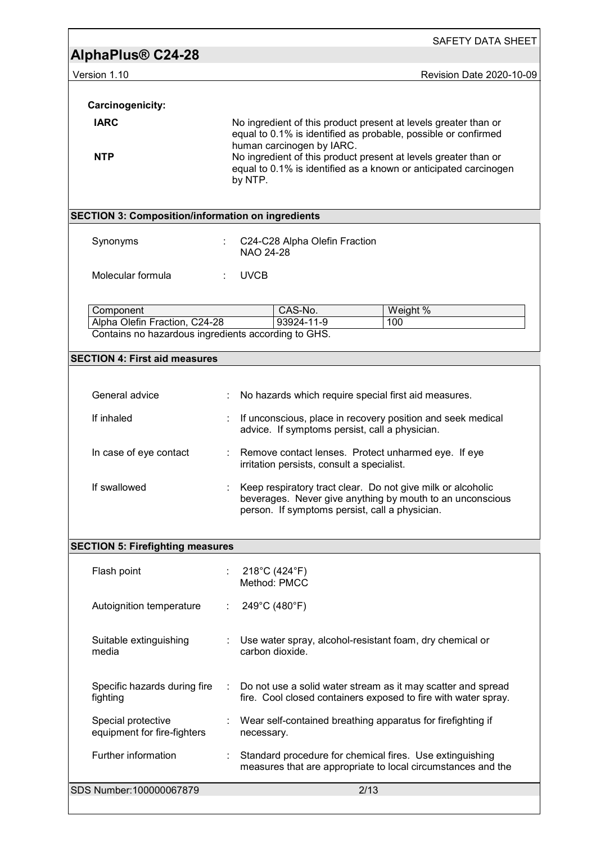| AlphaPlus <sup>®</sup> C24-28                                                        |                         |                                                   |                                                                                                                                     |
|--------------------------------------------------------------------------------------|-------------------------|---------------------------------------------------|-------------------------------------------------------------------------------------------------------------------------------------|
| Version 1.10                                                                         |                         |                                                   | Revision Date 2020-10-09                                                                                                            |
|                                                                                      |                         |                                                   |                                                                                                                                     |
| Carcinogenicity:<br><b>IARC</b>                                                      |                         |                                                   | No ingredient of this product present at levels greater than or<br>equal to 0.1% is identified as probable, possible or confirmed   |
| <b>NTP</b>                                                                           |                         | human carcinogen by IARC.<br>by NTP.              | No ingredient of this product present at levels greater than or<br>equal to 0.1% is identified as a known or anticipated carcinogen |
| <b>SECTION 3: Composition/information on ingredients</b>                             |                         |                                                   |                                                                                                                                     |
| Synonyms                                                                             |                         | C24-C28 Alpha Olefin Fraction<br><b>NAO 24-28</b> |                                                                                                                                     |
| Molecular formula                                                                    |                         | <b>UVCB</b>                                       |                                                                                                                                     |
| Component                                                                            |                         | CAS-No.                                           | Weight %                                                                                                                            |
| Alpha Olefin Fraction, C24-28<br>Contains no hazardous ingredients according to GHS. |                         | 93924-11-9                                        | 100                                                                                                                                 |
| <b>SECTION 4: First aid measures</b>                                                 |                         |                                                   |                                                                                                                                     |
|                                                                                      |                         |                                                   |                                                                                                                                     |
| General advice                                                                       |                         |                                                   | No hazards which require special first aid measures.                                                                                |
| If inhaled                                                                           |                         | advice. If symptoms persist, call a physician.    | If unconscious, place in recovery position and seek medical                                                                         |
| In case of eye contact                                                               | $\mathbb{Z}^{\times}$ . | irritation persists, consult a specialist.        | Remove contact lenses. Protect unharmed eye. If eye                                                                                 |
| If swallowed                                                                         |                         |                                                   |                                                                                                                                     |
|                                                                                      |                         | person. If symptoms persist, call a physician.    | Keep respiratory tract clear. Do not give milk or alcoholic<br>beverages. Never give anything by mouth to an unconscious            |
|                                                                                      |                         |                                                   |                                                                                                                                     |
| Flash point                                                                          |                         | 218°C (424°F)<br>Method: PMCC                     |                                                                                                                                     |
| Autoignition temperature                                                             |                         | 249°C (480°F)                                     |                                                                                                                                     |
| Suitable extinguishing<br>media                                                      |                         | carbon dioxide.                                   | Use water spray, alcohol-resistant foam, dry chemical or                                                                            |
| <b>SECTION 5: Firefighting measures</b><br>Specific hazards during fire<br>fighting  | ÷                       |                                                   | Do not use a solid water stream as it may scatter and spread<br>fire. Cool closed containers exposed to fire with water spray.      |
| Special protective<br>equipment for fire-fighters                                    |                         | necessary.                                        | Wear self-contained breathing apparatus for firefighting if                                                                         |
| Further information                                                                  |                         |                                                   | Standard procedure for chemical fires. Use extinguishing<br>measures that are appropriate to local circumstances and the            |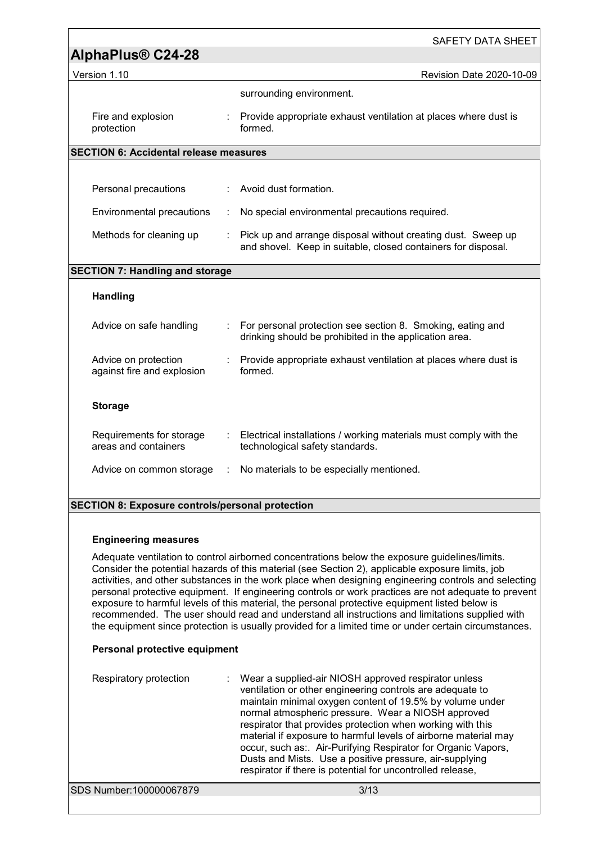|                                                         |           | <b>SAFETY DATA SHEET</b>                                                                                                      |
|---------------------------------------------------------|-----------|-------------------------------------------------------------------------------------------------------------------------------|
| AlphaPlus <sup>®</sup> C24-28                           |           |                                                                                                                               |
| Version 1.10                                            |           | Revision Date 2020-10-09                                                                                                      |
|                                                         |           | surrounding environment.                                                                                                      |
| Fire and explosion<br>protection                        |           | : Provide appropriate exhaust ventilation at places where dust is<br>formed.                                                  |
| <b>SECTION 6: Accidental release measures</b>           |           |                                                                                                                               |
|                                                         |           |                                                                                                                               |
| Personal precautions                                    |           | Avoid dust formation.                                                                                                         |
| Environmental precautions                               |           | No special environmental precautions required.                                                                                |
| Methods for cleaning up                                 |           | Pick up and arrange disposal without creating dust. Sweep up<br>and shovel. Keep in suitable, closed containers for disposal. |
| <b>SECTION 7: Handling and storage</b>                  |           |                                                                                                                               |
| <b>Handling</b>                                         |           |                                                                                                                               |
| Advice on safe handling                                 |           | For personal protection see section 8. Smoking, eating and<br>drinking should be prohibited in the application area.          |
| Advice on protection<br>against fire and explosion      |           | Provide appropriate exhaust ventilation at places where dust is<br>formed.                                                    |
| <b>Storage</b>                                          |           |                                                                                                                               |
| Requirements for storage<br>areas and containers        |           | : Electrical installations / working materials must comply with the<br>technological safety standards.                        |
| Advice on common storage                                | $\sim$ 1. | No materials to be especially mentioned.                                                                                      |
| <b>SECTION 8: Exposure controls/personal protection</b> |           |                                                                                                                               |
|                                                         |           |                                                                                                                               |

#### **Engineering measures**

Adequate ventilation to control airborned concentrations below the exposure guidelines/limits. Consider the potential hazards of this material (see Section 2), applicable exposure limits, job activities, and other substances in the work place when designing engineering controls and selecting personal protective equipment. If engineering controls or work practices are not adequate to prevent exposure to harmful levels of this material, the personal protective equipment listed below is recommended. The user should read and understand all instructions and limitations supplied with the equipment since protection is usually provided for a limited time or under certain circumstances.

#### **Personal protective equipment**

| Respiratory protection  | : Wear a supplied-air NIOSH approved respirator unless<br>ventilation or other engineering controls are adequate to<br>maintain minimal oxygen content of 19.5% by volume under<br>normal atmospheric pressure. Wear a NIOSH approved<br>respirator that provides protection when working with this<br>material if exposure to harmful levels of airborne material may<br>occur, such as: Air-Purifying Respirator for Organic Vapors,<br>Dusts and Mists. Use a positive pressure, air-supplying<br>respirator if there is potential for uncontrolled release, |  |
|-------------------------|-----------------------------------------------------------------------------------------------------------------------------------------------------------------------------------------------------------------------------------------------------------------------------------------------------------------------------------------------------------------------------------------------------------------------------------------------------------------------------------------------------------------------------------------------------------------|--|
| SDS Number:100000067879 | 3/13                                                                                                                                                                                                                                                                                                                                                                                                                                                                                                                                                            |  |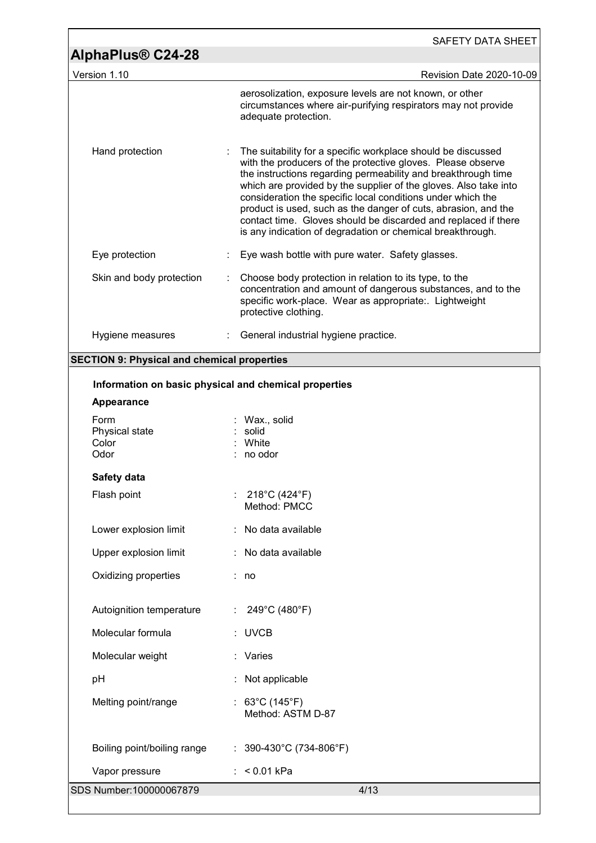| AlphaPlus® C24-28                                     | SAFETY DATA SHEET                                                                                                                                                                                                                                                                                                                                                                                                                                                                                                                 |
|-------------------------------------------------------|-----------------------------------------------------------------------------------------------------------------------------------------------------------------------------------------------------------------------------------------------------------------------------------------------------------------------------------------------------------------------------------------------------------------------------------------------------------------------------------------------------------------------------------|
| Version 1.10                                          | Revision Date 2020-10-09                                                                                                                                                                                                                                                                                                                                                                                                                                                                                                          |
|                                                       | aerosolization, exposure levels are not known, or other<br>circumstances where air-purifying respirators may not provide<br>adequate protection.                                                                                                                                                                                                                                                                                                                                                                                  |
| Hand protection                                       | The suitability for a specific workplace should be discussed<br>with the producers of the protective gloves. Please observe<br>the instructions regarding permeability and breakthrough time<br>which are provided by the supplier of the gloves. Also take into<br>consideration the specific local conditions under which the<br>product is used, such as the danger of cuts, abrasion, and the<br>contact time. Gloves should be discarded and replaced if there<br>is any indication of degradation or chemical breakthrough. |
| Eye protection                                        | Eye wash bottle with pure water. Safety glasses.                                                                                                                                                                                                                                                                                                                                                                                                                                                                                  |
| Skin and body protection                              | Choose body protection in relation to its type, to the<br>concentration and amount of dangerous substances, and to the<br>specific work-place. Wear as appropriate:. Lightweight<br>protective clothing.                                                                                                                                                                                                                                                                                                                          |
| Hygiene measures                                      | : General industrial hygiene practice.                                                                                                                                                                                                                                                                                                                                                                                                                                                                                            |
| <b>SECTION 9: Physical and chemical properties</b>    |                                                                                                                                                                                                                                                                                                                                                                                                                                                                                                                                   |
| Information on basic physical and chemical properties |                                                                                                                                                                                                                                                                                                                                                                                                                                                                                                                                   |
| <b>Appearance</b>                                     |                                                                                                                                                                                                                                                                                                                                                                                                                                                                                                                                   |
| Form<br>Physical state<br>Color<br>Odor               | Wax., solid<br>: solid<br>White<br>no odor                                                                                                                                                                                                                                                                                                                                                                                                                                                                                        |
| Safety data                                           |                                                                                                                                                                                                                                                                                                                                                                                                                                                                                                                                   |
| Flash point                                           | 218°C (424°F)<br>Method: PMCC                                                                                                                                                                                                                                                                                                                                                                                                                                                                                                     |
| Lower explosion limit                                 | : No data available                                                                                                                                                                                                                                                                                                                                                                                                                                                                                                               |
| Upper explosion limit                                 | : No data available                                                                                                                                                                                                                                                                                                                                                                                                                                                                                                               |
| Oxidizing properties                                  | : no                                                                                                                                                                                                                                                                                                                                                                                                                                                                                                                              |
| Autoignition temperature                              | 249°C (480°F)                                                                                                                                                                                                                                                                                                                                                                                                                                                                                                                     |
| Molecular formula                                     | <b>UVCB</b>                                                                                                                                                                                                                                                                                                                                                                                                                                                                                                                       |
| Molecular weight                                      | : Varies                                                                                                                                                                                                                                                                                                                                                                                                                                                                                                                          |
| pH                                                    | Not applicable                                                                                                                                                                                                                                                                                                                                                                                                                                                                                                                    |
| Melting point/range                                   | 63°C (145°F)<br>Method: ASTM D-87                                                                                                                                                                                                                                                                                                                                                                                                                                                                                                 |
| Boiling point/boiling range                           | : $390-430^{\circ}$ C (734-806°F)                                                                                                                                                                                                                                                                                                                                                                                                                                                                                                 |
| Vapor pressure                                        | : $< 0.01$ kPa                                                                                                                                                                                                                                                                                                                                                                                                                                                                                                                    |
| SDS Number: 100000067879                              | 4/13                                                                                                                                                                                                                                                                                                                                                                                                                                                                                                                              |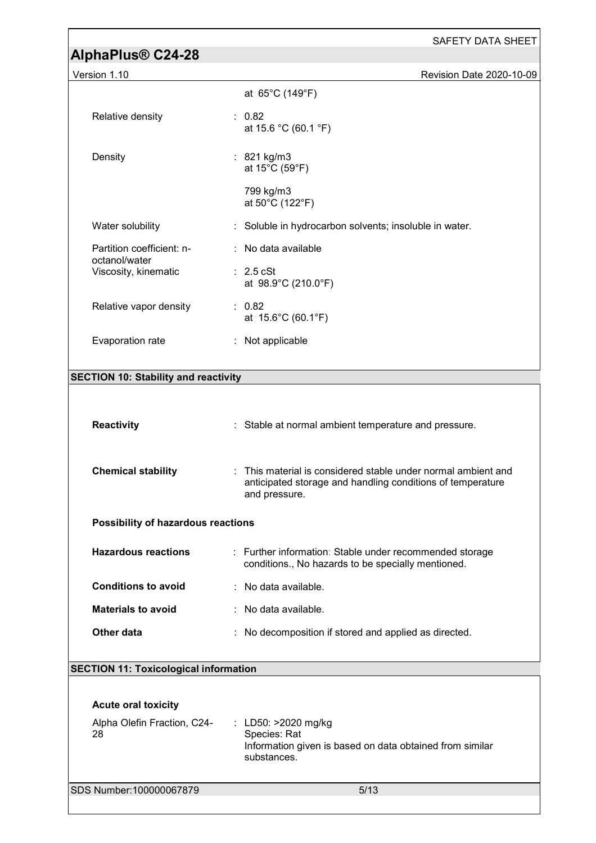|                                              | SAFETY DATA SHEET                                                                                                                            |
|----------------------------------------------|----------------------------------------------------------------------------------------------------------------------------------------------|
| AlphaPlus <sup>®</sup> C24-28                |                                                                                                                                              |
| Version 1.10                                 | Revision Date 2020-10-09                                                                                                                     |
|                                              | at 65°C (149°F)                                                                                                                              |
| Relative density                             | : 0.82<br>at 15.6 °C (60.1 °F)                                                                                                               |
| Density                                      | : 821 kg/m3<br>at 15°C (59°F)                                                                                                                |
|                                              | 799 kg/m3<br>at 50°C (122°F)                                                                                                                 |
| Water solubility                             | : Soluble in hydrocarbon solvents; insoluble in water.                                                                                       |
| Partition coefficient: n-                    | : No data available                                                                                                                          |
| octanol/water<br>Viscosity, kinematic        | $\therefore$ 2.5 cSt<br>at 98.9°C (210.0°F)                                                                                                  |
| Relative vapor density                       | : 0.82<br>at 15.6°C (60.1°F)                                                                                                                 |
| Evaporation rate                             | : Not applicable                                                                                                                             |
|                                              |                                                                                                                                              |
| <b>SECTION 10: Stability and reactivity</b>  |                                                                                                                                              |
|                                              |                                                                                                                                              |
| <b>Reactivity</b>                            | : Stable at normal ambient temperature and pressure.                                                                                         |
|                                              |                                                                                                                                              |
| <b>Chemical stability</b>                    | : This material is considered stable under normal ambient and<br>anticipated storage and handling conditions of temperature<br>and pressure. |
| Possibility of hazardous reactions           |                                                                                                                                              |
| <b>Hazardous reactions</b>                   | : Further information: Stable under recommended storage<br>conditions., No hazards to be specially mentioned.                                |
| <b>Conditions to avoid</b>                   | : No data available.                                                                                                                         |
| <b>Materials to avoid</b>                    | : No data available.                                                                                                                         |
| <b>Other data</b>                            | No decomposition if stored and applied as directed.                                                                                          |
|                                              |                                                                                                                                              |
| <b>SECTION 11: Toxicological information</b> |                                                                                                                                              |
| <b>Acute oral toxicity</b>                   |                                                                                                                                              |
| Alpha Olefin Fraction, C24-                  | LD50: >2020 mg/kg                                                                                                                            |
| 28                                           | Species: Rat<br>Information given is based on data obtained from similar<br>substances.                                                      |
| SDS Number: 100000067879                     | 5/13                                                                                                                                         |
|                                              |                                                                                                                                              |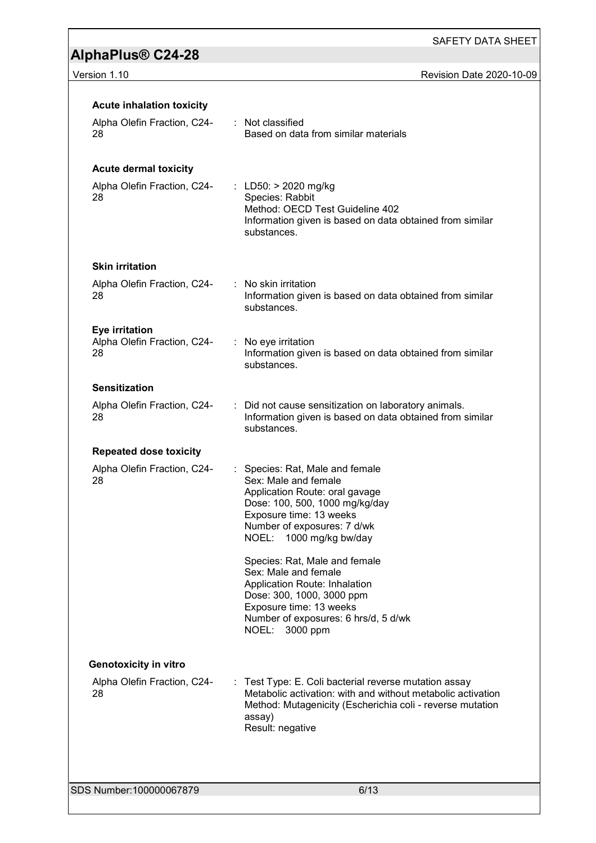SAFETY DATA SHEET

### Version 1.10 **Version 1.10** Revision Date 2020-10-09

| <b>Acute inhalation toxicity</b>                    |                                                                                                                                                                                                                  |
|-----------------------------------------------------|------------------------------------------------------------------------------------------------------------------------------------------------------------------------------------------------------------------|
| Alpha Olefin Fraction, C24-<br>28                   | : Not classified<br>Based on data from similar materials                                                                                                                                                         |
| <b>Acute dermal toxicity</b>                        |                                                                                                                                                                                                                  |
| Alpha Olefin Fraction, C24-<br>28                   | : LD50: $> 2020$ mg/kg<br>Species: Rabbit<br>Method: OECD Test Guideline 402<br>Information given is based on data obtained from similar<br>substances.                                                          |
| <b>Skin irritation</b>                              |                                                                                                                                                                                                                  |
| Alpha Olefin Fraction, C24-<br>28                   | : No skin irritation<br>Information given is based on data obtained from similar<br>substances.                                                                                                                  |
| Eye irritation<br>Alpha Olefin Fraction, C24-<br>28 | : No eye irritation<br>Information given is based on data obtained from similar<br>substances.                                                                                                                   |
| <b>Sensitization</b>                                |                                                                                                                                                                                                                  |
| Alpha Olefin Fraction, C24-<br>28                   | : Did not cause sensitization on laboratory animals.<br>Information given is based on data obtained from similar<br>substances.                                                                                  |
| <b>Repeated dose toxicity</b>                       |                                                                                                                                                                                                                  |
| Alpha Olefin Fraction, C24-<br>28                   | : Species: Rat, Male and female<br>Sex: Male and female<br>Application Route: oral gavage<br>Dose: 100, 500, 1000 mg/kg/day<br>Exposure time: 13 weeks<br>Number of exposures: 7 d/wk<br>NOEL: 1000 mg/kg bw/day |
|                                                     | Species: Rat, Male and female<br>Sex: Male and female<br>Application Route: Inhalation<br>Dose: 300, 1000, 3000 ppm<br>Exposure time: 13 weeks<br>Number of exposures: 6 hrs/d, 5 d/wk<br>NOEL: 3000 ppm         |
| <b>Genotoxicity in vitro</b>                        |                                                                                                                                                                                                                  |
| Alpha Olefin Fraction, C24-<br>28                   | : Test Type: E. Coli bacterial reverse mutation assay<br>Metabolic activation: with and without metabolic activation<br>Method: Mutagenicity (Escherichia coli - reverse mutation<br>assay)<br>Result: negative  |
|                                                     |                                                                                                                                                                                                                  |
| SDS Number:100000067879                             | 6/13                                                                                                                                                                                                             |
|                                                     |                                                                                                                                                                                                                  |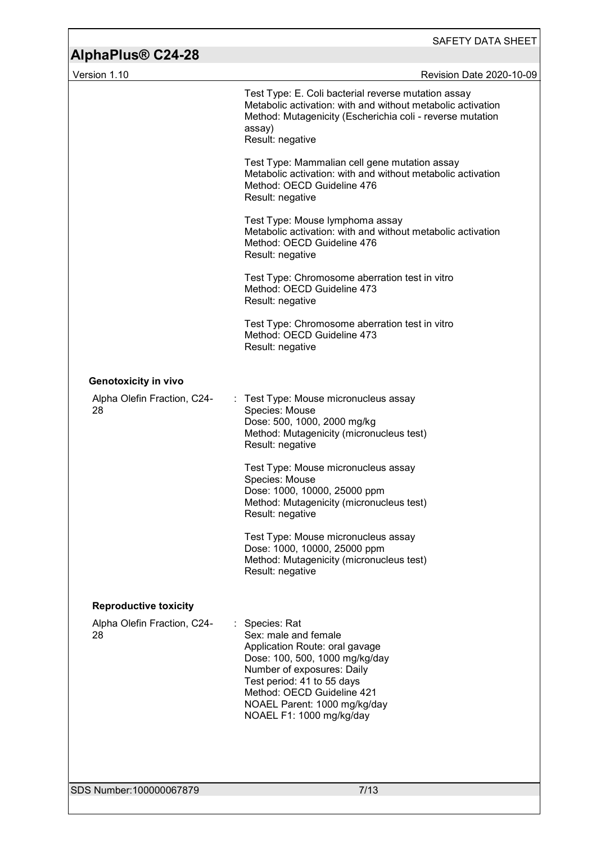| <b>AlphaPlus® C24-28</b>          | SAFETY DATA SHEET                                                                                                                                                                                                                                              |
|-----------------------------------|----------------------------------------------------------------------------------------------------------------------------------------------------------------------------------------------------------------------------------------------------------------|
| Version 1.10                      | Revision Date 2020-10-09                                                                                                                                                                                                                                       |
|                                   | Test Type: E. Coli bacterial reverse mutation assay<br>Metabolic activation: with and without metabolic activation<br>Method: Mutagenicity (Escherichia coli - reverse mutation<br>assay)<br>Result: negative                                                  |
|                                   | Test Type: Mammalian cell gene mutation assay<br>Metabolic activation: with and without metabolic activation<br>Method: OECD Guideline 476<br>Result: negative                                                                                                 |
|                                   | Test Type: Mouse lymphoma assay<br>Metabolic activation: with and without metabolic activation<br>Method: OECD Guideline 476<br>Result: negative                                                                                                               |
|                                   | Test Type: Chromosome aberration test in vitro<br>Method: OECD Guideline 473<br>Result: negative                                                                                                                                                               |
|                                   | Test Type: Chromosome aberration test in vitro<br>Method: OECD Guideline 473<br>Result: negative                                                                                                                                                               |
| <b>Genotoxicity in vivo</b>       |                                                                                                                                                                                                                                                                |
| Alpha Olefin Fraction, C24-<br>28 | : Test Type: Mouse micronucleus assay<br>Species: Mouse<br>Dose: 500, 1000, 2000 mg/kg<br>Method: Mutagenicity (micronucleus test)<br>Result: negative                                                                                                         |
|                                   | Test Type: Mouse micronucleus assay<br>Species: Mouse<br>Dose: 1000, 10000, 25000 ppm<br>Method: Mutagenicity (micronucleus test)<br>Result: negative                                                                                                          |
|                                   | Test Type: Mouse micronucleus assay<br>Dose: 1000, 10000, 25000 ppm<br>Method: Mutagenicity (micronucleus test)<br>Result: negative                                                                                                                            |
| <b>Reproductive toxicity</b>      |                                                                                                                                                                                                                                                                |
| Alpha Olefin Fraction, C24-<br>28 | Species: Rat<br>Sex: male and female<br>Application Route: oral gavage<br>Dose: 100, 500, 1000 mg/kg/day<br>Number of exposures: Daily<br>Test period: 41 to 55 days<br>Method: OECD Guideline 421<br>NOAEL Parent: 1000 mg/kg/day<br>NOAEL F1: 1000 mg/kg/day |
|                                   |                                                                                                                                                                                                                                                                |
| SDS Number: 100000067879          | 7/13                                                                                                                                                                                                                                                           |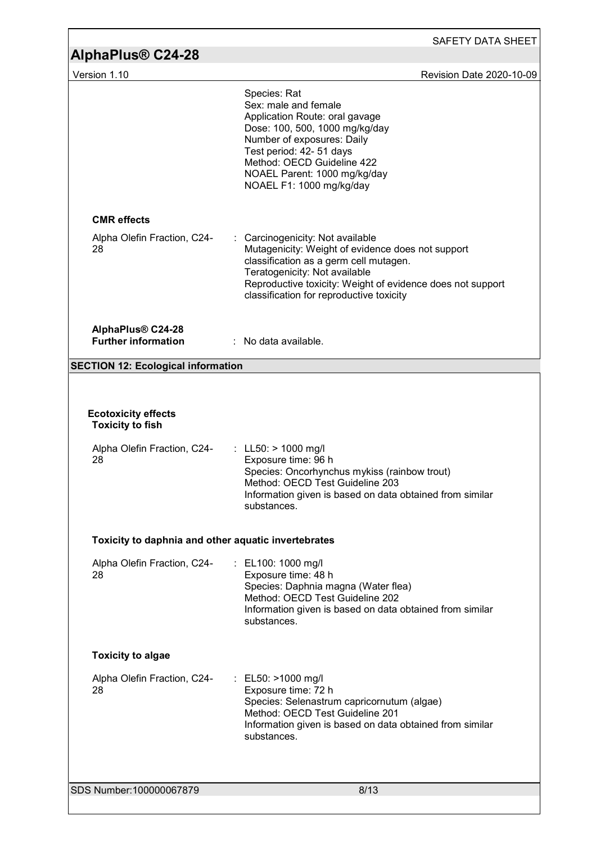| AlphaPlus <sup>®</sup> C24-28                                                              | <b>SAFETY DATA SHEET</b>                                                                                                                                                                                                                                                 |
|--------------------------------------------------------------------------------------------|--------------------------------------------------------------------------------------------------------------------------------------------------------------------------------------------------------------------------------------------------------------------------|
| Version 1.10                                                                               | Revision Date 2020-10-09                                                                                                                                                                                                                                                 |
|                                                                                            | Species: Rat<br>Sex: male and female<br>Application Route: oral gavage<br>Dose: 100, 500, 1000 mg/kg/day<br>Number of exposures: Daily<br>Test period: 42- 51 days<br>Method: OECD Guideline 422<br>NOAEL Parent: 1000 mg/kg/day<br>NOAEL F1: 1000 mg/kg/day             |
| <b>CMR</b> effects                                                                         |                                                                                                                                                                                                                                                                          |
| Alpha Olefin Fraction, C24-<br>28                                                          | Carcinogenicity: Not available<br>Mutagenicity: Weight of evidence does not support<br>classification as a germ cell mutagen.<br>Teratogenicity: Not available<br>Reproductive toxicity: Weight of evidence does not support<br>classification for reproductive toxicity |
| AlphaPlus® C24-28<br><b>Further information</b>                                            | $:$ No data available.                                                                                                                                                                                                                                                   |
| <b>SECTION 12: Ecological information</b>                                                  |                                                                                                                                                                                                                                                                          |
| <b>Ecotoxicity effects</b><br><b>Toxicity to fish</b><br>Alpha Olefin Fraction, C24-<br>28 | : LL50: $> 1000$ mg/l<br>Exposure time: 96 h<br>Species: Oncorhynchus mykiss (rainbow trout)<br>Method: OECD Test Guideline 203<br>Information given is based on data obtained from similar<br>substances.                                                               |
| Toxicity to daphnia and other aquatic invertebrates                                        |                                                                                                                                                                                                                                                                          |
| Alpha Olefin Fraction, C24-<br>28                                                          | : EL100: 1000 mg/l<br>Exposure time: 48 h<br>Species: Daphnia magna (Water flea)<br>Method: OECD Test Guideline 202<br>Information given is based on data obtained from similar<br>substances.                                                                           |
| <b>Toxicity to algae</b>                                                                   |                                                                                                                                                                                                                                                                          |
| Alpha Olefin Fraction, C24-<br>28                                                          | : EL50: >1000 mg/l<br>Exposure time: 72 h<br>Species: Selenastrum capricornutum (algae)<br>Method: OECD Test Guideline 201<br>Information given is based on data obtained from similar<br>substances.                                                                    |
|                                                                                            |                                                                                                                                                                                                                                                                          |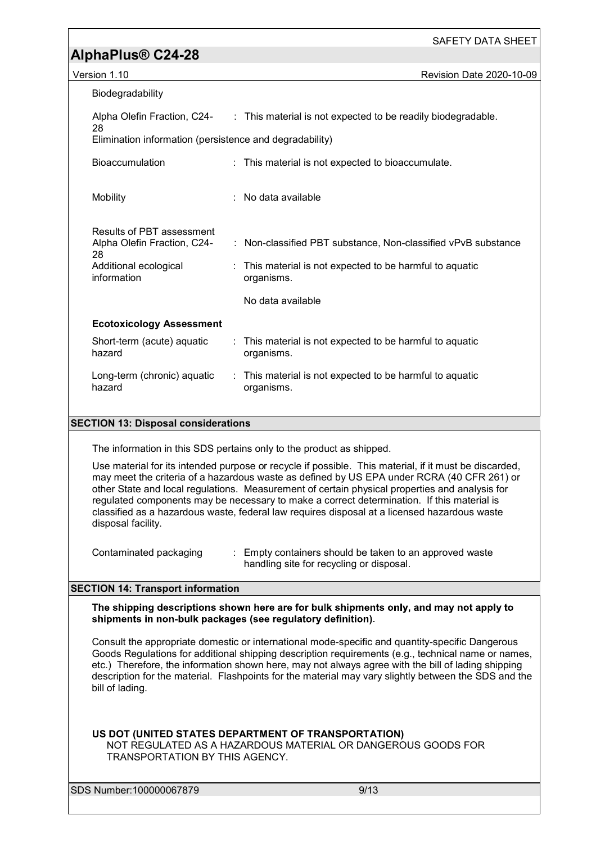| Biodegradability                                               |                                                                                          |
|----------------------------------------------------------------|------------------------------------------------------------------------------------------|
| 28                                                             | Alpha Olefin Fraction, C24- : This material is not expected to be readily biodegradable. |
| Elimination information (persistence and degradability)        |                                                                                          |
| <b>Bioaccumulation</b>                                         | : This material is not expected to bioaccumulate.                                        |
| <b>Mobility</b>                                                | : No data available                                                                      |
| Results of PBT assessment<br>Alpha Olefin Fraction, C24-<br>28 | : Non-classified PBT substance, Non-classified vPvB substance                            |
| Additional ecological<br>information                           | : This material is not expected to be harmful to aquatic<br>organisms.                   |
|                                                                | No data available                                                                        |
| <b>Ecotoxicology Assessment</b>                                |                                                                                          |
| Short-term (acute) aquatic<br>hazard                           | : This material is not expected to be harmful to aquatic<br>organisms.                   |
| Long-term (chronic) aquatic<br>hazard                          | : This material is not expected to be harmful to aquatic<br>organisms.                   |
|                                                                |                                                                                          |

#### **SECTION 13: Disposal considerations**

The information in this SDS pertains only to the product as shipped.

Use material for its intended purpose or recycle if possible. This material, if it must be discarded, may meet the criteria of a hazardous waste as defined by US EPA under RCRA (40 CFR 261) or other State and local regulations. Measurement of certain physical properties and analysis for regulated components may be necessary to make a correct determination. If this material is classified as a hazardous waste, federal law requires disposal at a licensed hazardous waste disposal facility.

Contaminated packaging : Empty containers should be taken to an approved waste handling site for recycling or disposal.

#### **SECTION 14: Transport information**

The shipping descriptions shown here are for bulk shipments only, and may not apply to shipments in non-bulk packages (see regulatory definition).

Consult the appropriate domestic or international mode-specific and quantity-specific Dangerous Goods Regulations for additional shipping description requirements (e.g., technical name or names, etc.) Therefore, the information shown here, may not always agree with the bill of lading shipping description for the material. Flashpoints for the material may vary slightly between the SDS and the bill of lading.

#### **US DOT (UNITED STATES DEPARTMENT OF TRANSPORTATION)**

NOT REGULATED AS A HAZARDOUS MATERIAL OR DANGEROUS GOODS FOR TRANSPORTATION BY THIS AGENCY.

SDS Number:100000067879 9/13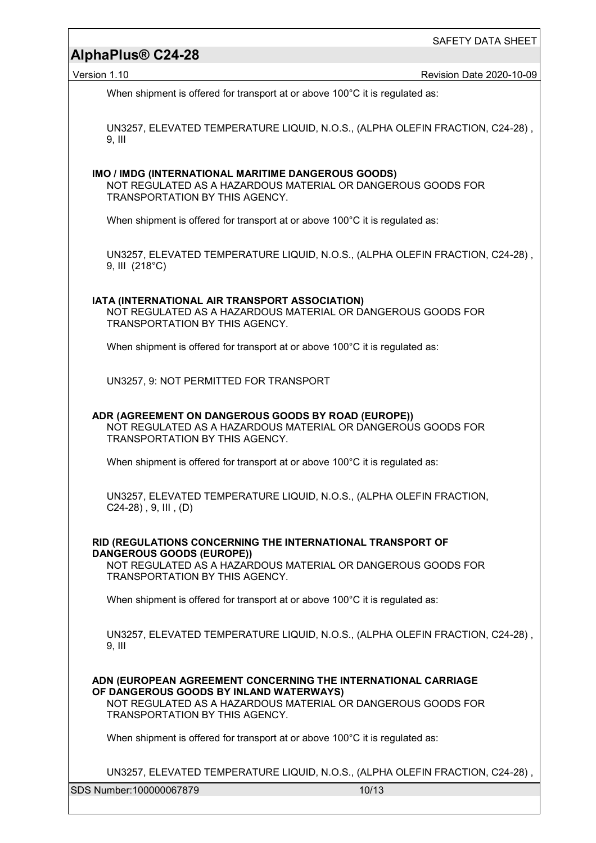Version 1.10 Revision Date 2020-10-09

When shipment is offered for transport at or above 100°C it is regulated as:

UN3257, ELEVATED TEMPERATURE LIQUID, N.O.S., (ALPHA OLEFIN FRACTION, C24-28) , 9, III

#### **IMO / IMDG (INTERNATIONAL MARITIME DANGEROUS GOODS)**

NOT REGULATED AS A HAZARDOUS MATERIAL OR DANGEROUS GOODS FOR TRANSPORTATION BY THIS AGENCY.

When shipment is offered for transport at or above 100°C it is regulated as:

UN3257, ELEVATED TEMPERATURE LIQUID, N.O.S., (ALPHA OLEFIN FRACTION, C24-28) , 9, III (218°C)

#### **IATA (INTERNATIONAL AIR TRANSPORT ASSOCIATION)**

NOT REGULATED AS A HAZARDOUS MATERIAL OR DANGEROUS GOODS FOR TRANSPORTATION BY THIS AGENCY.

When shipment is offered for transport at or above 100°C it is regulated as:

UN3257, 9: NOT PERMITTED FOR TRANSPORT

#### **ADR (AGREEMENT ON DANGEROUS GOODS BY ROAD (EUROPE))** NOT REGULATED AS A HAZARDOUS MATERIAL OR DANGEROUS GOODS FOR TRANSPORTATION BY THIS AGENCY.

When shipment is offered for transport at or above 100°C it is regulated as:

UN3257, ELEVATED TEMPERATURE LIQUID, N.O.S., (ALPHA OLEFIN FRACTION, C24-28) , 9, III , (D)

#### **RID (REGULATIONS CONCERNING THE INTERNATIONAL TRANSPORT OF DANGEROUS GOODS (EUROPE))**

NOT REGULATED AS A HAZARDOUS MATERIAL OR DANGEROUS GOODS FOR TRANSPORTATION BY THIS AGENCY.

When shipment is offered for transport at or above 100°C it is regulated as:

UN3257, ELEVATED TEMPERATURE LIQUID, N.O.S., (ALPHA OLEFIN FRACTION, C24-28) , 9, III

**ADN (EUROPEAN AGREEMENT CONCERNING THE INTERNATIONAL CARRIAGE OF DANGEROUS GOODS BY INLAND WATERWAYS)**

NOT REGULATED AS A HAZARDOUS MATERIAL OR DANGEROUS GOODS FOR TRANSPORTATION BY THIS AGENCY.

When shipment is offered for transport at or above 100°C it is regulated as:

UN3257, ELEVATED TEMPERATURE LIQUID, N.O.S., (ALPHA OLEFIN FRACTION, C24-28) ,

SDS Number:100000067879 10/13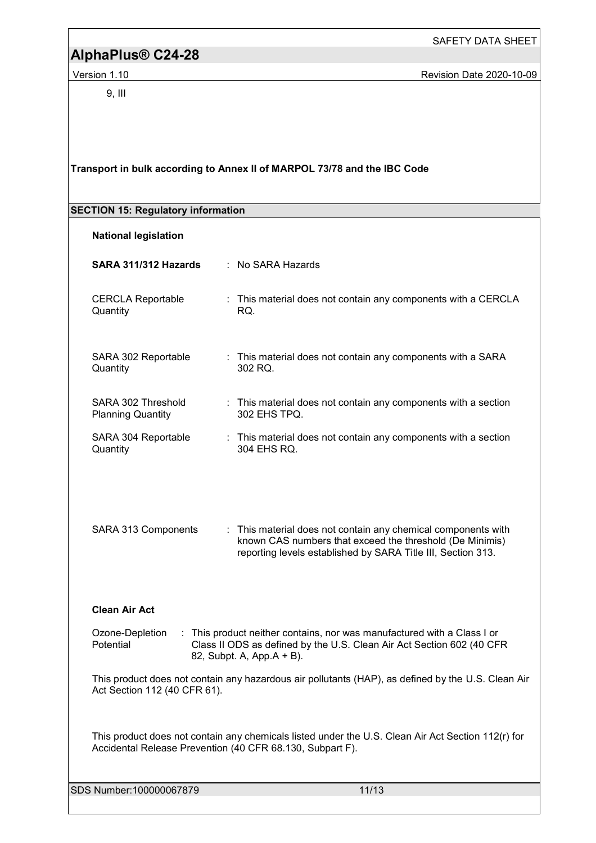9, III

**Version 1.10** Version 1.10

| <b>SECTION 15: Regulatory information</b>      |                                                                                                                                                                                           |
|------------------------------------------------|-------------------------------------------------------------------------------------------------------------------------------------------------------------------------------------------|
| <b>National legislation</b>                    |                                                                                                                                                                                           |
| SARA 311/312 Hazards                           | : No SARA Hazards                                                                                                                                                                         |
| <b>CERCLA Reportable</b><br>Quantity           | : This material does not contain any components with a CERCLA<br>RQ.                                                                                                                      |
| SARA 302 Reportable<br>Quantity                | : This material does not contain any components with a SARA<br>302 RQ.                                                                                                                    |
| SARA 302 Threshold<br><b>Planning Quantity</b> | : This material does not contain any components with a section<br>302 EHS TPQ.                                                                                                            |
| SARA 304 Reportable<br>Quantity                | : This material does not contain any components with a section<br>304 EHS RQ.                                                                                                             |
| SARA 313 Components                            | : This material does not contain any chemical components with<br>known CAS numbers that exceed the threshold (De Minimis)<br>reporting levels established by SARA Title III, Section 313. |
| <b>Clean Air Act</b>                           |                                                                                                                                                                                           |
| Ozone-Depletion<br>Potential                   | This product neither contains, nor was manufactured with a Class I or<br>Class II ODS as defined by the U.S. Clean Air Act Section 602 (40 CFR<br>82, Subpt. A, App. A + B).              |
| Act Section 112 (40 CFR 61).                   | This product does not contain any hazardous air pollutants (HAP), as defined by the U.S. Clean Air                                                                                        |
|                                                | This product does not contain any chemicals listed under the U.S. Clean Air Act Section 112(r) for<br>Accidental Release Prevention (40 CFR 68.130, Subpart F).                           |

**Transport in bulk according to Annex II of MARPOL 73/78 and the IBC Code** 

SDS Number:100000067879 11/13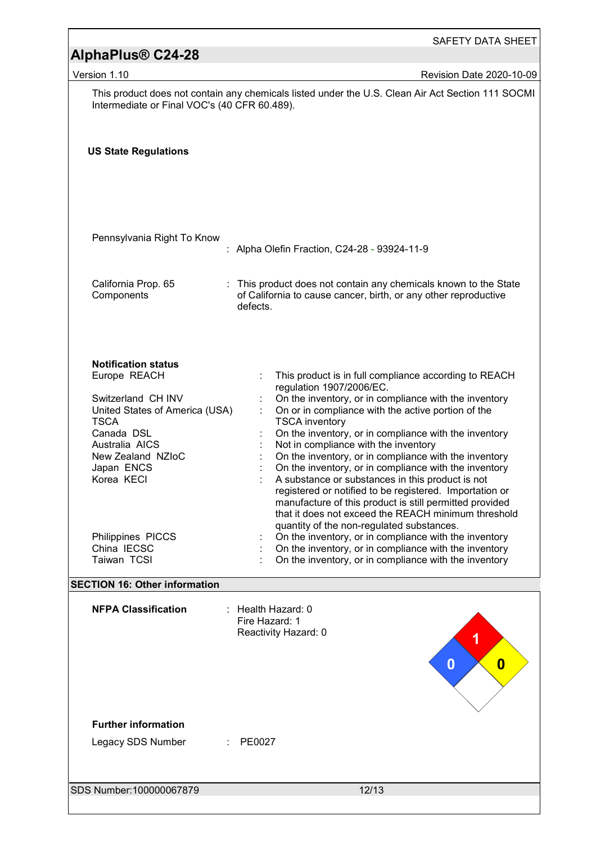|                                                                                                                                                                                                                                                                                               | SAFETY DATA SHEET                                                                                                                                                                                                                                                                                                                                                                                                                                                                                                                                                                                                                                                                                                                                                                                                                                                                                     |
|-----------------------------------------------------------------------------------------------------------------------------------------------------------------------------------------------------------------------------------------------------------------------------------------------|-------------------------------------------------------------------------------------------------------------------------------------------------------------------------------------------------------------------------------------------------------------------------------------------------------------------------------------------------------------------------------------------------------------------------------------------------------------------------------------------------------------------------------------------------------------------------------------------------------------------------------------------------------------------------------------------------------------------------------------------------------------------------------------------------------------------------------------------------------------------------------------------------------|
| AlphaPlus <sup>®</sup> C24-28                                                                                                                                                                                                                                                                 |                                                                                                                                                                                                                                                                                                                                                                                                                                                                                                                                                                                                                                                                                                                                                                                                                                                                                                       |
| Version 1.10                                                                                                                                                                                                                                                                                  | Revision Date 2020-10-09                                                                                                                                                                                                                                                                                                                                                                                                                                                                                                                                                                                                                                                                                                                                                                                                                                                                              |
| Intermediate or Final VOC's (40 CFR 60.489).                                                                                                                                                                                                                                                  | This product does not contain any chemicals listed under the U.S. Clean Air Act Section 111 SOCMI                                                                                                                                                                                                                                                                                                                                                                                                                                                                                                                                                                                                                                                                                                                                                                                                     |
| <b>US State Regulations</b>                                                                                                                                                                                                                                                                   |                                                                                                                                                                                                                                                                                                                                                                                                                                                                                                                                                                                                                                                                                                                                                                                                                                                                                                       |
| Pennsylvania Right To Know                                                                                                                                                                                                                                                                    | : Alpha Olefin Fraction, C24-28 - 93924-11-9                                                                                                                                                                                                                                                                                                                                                                                                                                                                                                                                                                                                                                                                                                                                                                                                                                                          |
| California Prop. 65<br>Components                                                                                                                                                                                                                                                             | This product does not contain any chemicals known to the State<br>of California to cause cancer, birth, or any other reproductive<br>defects.                                                                                                                                                                                                                                                                                                                                                                                                                                                                                                                                                                                                                                                                                                                                                         |
| <b>Notification status</b><br>Europe REACH<br>Switzerland CH INV<br>United States of America (USA)<br><b>TSCA</b><br>Canada DSL<br>Australia AICS<br>New Zealand NZloC<br>Japan ENCS<br>Korea KECI<br>Philippines PICCS<br>China IECSC<br>Taiwan TCSI<br><b>SECTION 16: Other information</b> | This product is in full compliance according to REACH<br>regulation 1907/2006/EC.<br>On the inventory, or in compliance with the inventory<br>On or in compliance with the active portion of the<br><b>TSCA</b> inventory<br>On the inventory, or in compliance with the inventory<br>Not in compliance with the inventory<br>On the inventory, or in compliance with the inventory<br>On the inventory, or in compliance with the inventory<br>A substance or substances in this product is not<br>registered or notified to be registered. Importation or<br>manufacture of this product is still permitted provided<br>that it does not exceed the REACH minimum threshold<br>quantity of the non-regulated substances.<br>On the inventory, or in compliance with the inventory<br>On the inventory, or in compliance with the inventory<br>On the inventory, or in compliance with the inventory |
|                                                                                                                                                                                                                                                                                               |                                                                                                                                                                                                                                                                                                                                                                                                                                                                                                                                                                                                                                                                                                                                                                                                                                                                                                       |
| <b>NFPA Classification</b><br><b>Further information</b><br>Legacy SDS Number                                                                                                                                                                                                                 | Health Hazard: 0<br>Fire Hazard: 1<br>Reactivity Hazard: 0<br>$\boldsymbol{0}$<br>$\bf{0}$<br>PE0027                                                                                                                                                                                                                                                                                                                                                                                                                                                                                                                                                                                                                                                                                                                                                                                                  |
| SDS Number: 100000067879                                                                                                                                                                                                                                                                      | 12/13                                                                                                                                                                                                                                                                                                                                                                                                                                                                                                                                                                                                                                                                                                                                                                                                                                                                                                 |

h